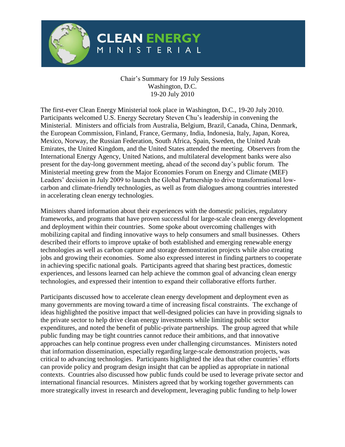

## **CLEAN ENERGY** NISTERIAL

## Chair's Summary for 19 July Sessions Washington, D.C. 19-20 July 2010

The first-ever Clean Energy Ministerial took place in Washington, D.C., 19-20 July 2010. Participants welcomed U.S. Energy Secretary Steven Chu's leadership in convening the Ministerial. Ministers and officials from Australia, Belgium, Brazil, Canada, China, Denmark, the European Commission, Finland, France, Germany, India, Indonesia, Italy, Japan, Korea, Mexico, Norway, the Russian Federation, South Africa, Spain, Sweden, the United Arab Emirates, the United Kingdom, and the United States attended the meeting. Observers from the International Energy Agency, United Nations, and multilateral development banks were also present for the day-long government meeting, ahead of the second day's public forum. The Ministerial meeting grew from the Major Economies Forum on Energy and Climate (MEF) Leaders' decision in July 2009 to launch the Global Partnership to drive transformational lowcarbon and climate-friendly technologies, as well as from dialogues among countries interested in accelerating clean energy technologies.

Ministers shared information about their experiences with the domestic policies, regulatory frameworks, and programs that have proven successful for large-scale clean energy development and deployment within their countries. Some spoke about overcoming challenges with mobilizing capital and finding innovative ways to help consumers and small businesses. Others described their efforts to improve uptake of both established and emerging renewable energy technologies as well as carbon capture and storage demonstration projects while also creating jobs and growing their economies. Some also expressed interest in finding partners to cooperate in achieving specific national goals. Participants agreed that sharing best practices, domestic experiences, and lessons learned can help achieve the common goal of advancing clean energy technologies, and expressed their intention to expand their collaborative efforts further.

Participants discussed how to accelerate clean energy development and deployment even as many governments are moving toward a time of increasing fiscal constraints. The exchange of ideas highlighted the positive impact that well-designed policies can have in providing signals to the private sector to help drive clean energy investments while limiting public sector expenditures, and noted the benefit of public-private partnerships. The group agreed that while public funding may be tight countries cannot reduce their ambitions, and that innovative approaches can help continue progress even under challenging circumstances. Ministers noted that information dissemination, especially regarding large-scale demonstration projects, was critical to advancing technologies. Participants highlighted the idea that other countries' efforts can provide policy and program design insight that can be applied as appropriate in national contexts. Countries also discussed how public funds could be used to leverage private sector and international financial resources. Ministers agreed that by working together governments can more strategically invest in research and development, leveraging public funding to help lower